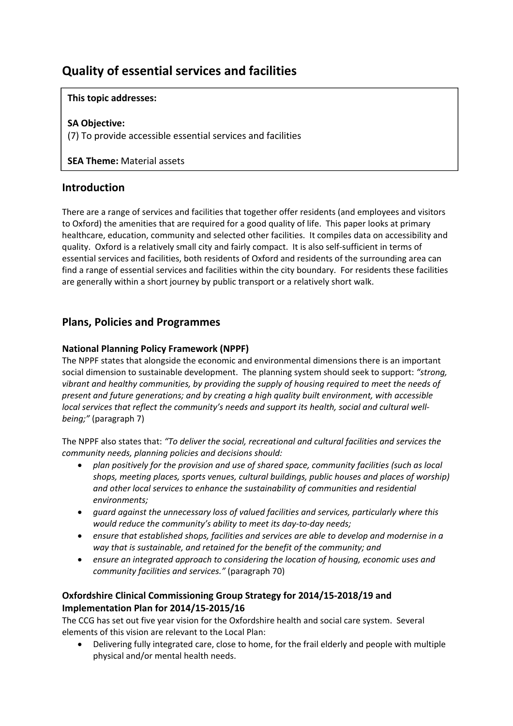# **Quality of essential services and facilities**

### **This topic addresses:**

### **SA Objective:**

(7) To provide accessible essential services and facilities

**SEA Theme:** Material assets

# **Introduction**

There are a range of services and facilities that together offer residents (and employees and visitors to Oxford) the amenities that are required for a good quality of life. This paper looks at primary healthcare, education, community and selected other facilities. It compiles data on accessibility and quality. Oxford is a relatively small city and fairly compact. It is also self‐sufficient in terms of essential services and facilities, both residents of Oxford and residents of the surrounding area can find a range of essential services and facilities within the city boundary. For residents these facilities are generally within a short journey by public transport or a relatively short walk.

# **Plans, Policies and Programmes**

### **National Planning Policy Framework (NPPF)**

The NPPF states that alongside the economic and environmental dimensions there is an important social dimension to sustainable development. The planning system should seek to support: *"strong, vibrant and healthy communities, by providing the supply of housing required to meet the needs of present and future generations; and by creating a high quality built environment, with accessible local services that reflect the community's needs and support its health, social and cultural well‐ being;"* (paragraph 7)

The NPPF also states that: *"To deliver the social, recreational and cultural facilities and services the community needs, planning policies and decisions should:* 

- *plan positively for the provision and use of shared space, community facilities (such as local shops, meeting places, sports venues, cultural buildings, public houses and places of worship) and other local services to enhance the sustainability of communities and residential environments;*
- *guard against the unnecessary loss of valued facilities and services, particularly where this would reduce the community's ability to meet its day‐to‐day needs;*
- *ensure that established shops, facilities and services are able to develop and modernise in a way that is sustainable, and retained for the benefit of the community; and*
- *ensure an integrated approach to considering the location of housing, economic uses and community facilities and services."* (paragraph 70)

### **Oxfordshire Clinical Commissioning Group Strategy for 2014/15‐2018/19 and Implementation Plan for 2014/15‐2015/16**

The CCG has set out five year vision for the Oxfordshire health and social care system. Several elements of this vision are relevant to the Local Plan:

 Delivering fully integrated care, close to home, for the frail elderly and people with multiple physical and/or mental health needs.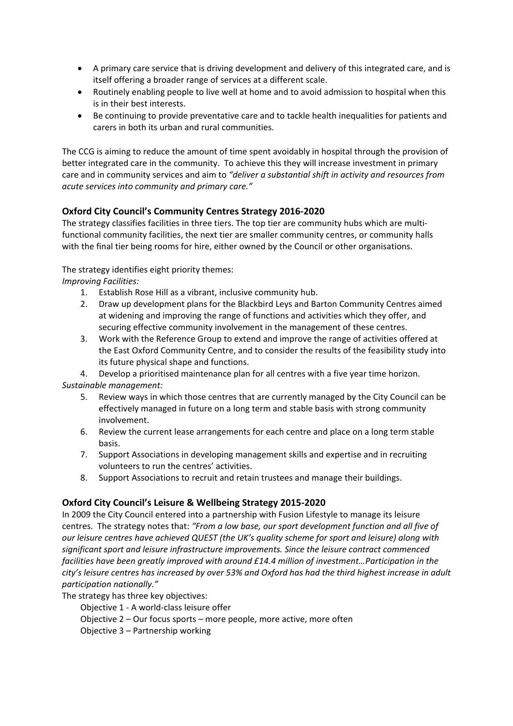- A primary care service that is driving development and delivery of this integrated care, and is itself offering a broader range of services at a different scale.
- Routinely enabling people to live well at home and to avoid admission to hospital when this is in their best interests.
- Be continuing to provide preventative care and to tackle health inequalities for patients and carers in both its urban and rural communities.

The CCG is aiming to reduce the amount of time spent avoidably in hospital through the provision of better integrated care in the community. To achieve this they will increase investment in primary care and in community services and aim to *"deliver a substantial shift in activity and resources from acute services into community and primary care."*

### **Oxford City Council's Community Centres Strategy 2016‐2020**

The strategy classifies facilities in three tiers. The top tier are community hubs which are multifunctional community facilities, the next tier are smaller community centres, or community halls with the final tier being rooms for hire, either owned by the Council or other organisations.

### The strategy identifies eight priority themes:

*Improving Facilities:* 

- 1. Establish Rose Hill as a vibrant, inclusive community hub.
- 2. Draw up development plans for the Blackbird Leys and Barton Community Centres aimed at widening and improving the range of functions and activities which they offer, and securing effective community involvement in the management of these centres.
- 3. Work with the Reference Group to extend and improve the range of activities offered at the East Oxford Community Centre, and to consider the results of the feasibility study into its future physical shape and functions.

4. Develop a prioritised maintenance plan for all centres with a five year time horizon.

- *Sustainable management:* 
	- 5. Review ways in which those centres that are currently managed by the City Council can be effectively managed in future on a long term and stable basis with strong community involvement.
	- 6. Review the current lease arrangements for each centre and place on a long term stable basis.
	- 7. Support Associations in developing management skills and expertise and in recruiting volunteers to run the centres' activities.
	- 8. Support Associations to recruit and retain trustees and manage their buildings.

### **Oxford City Council's Leisure & Wellbeing Strategy 2015‐2020**

In 2009 the City Council entered into a partnership with Fusion Lifestyle to manage its leisure centres. The strategy notes that: *"From a low base, our sport development function and all five of our leisure centres have achieved QUEST (the UK's quality scheme for sport and leisure) along with significant sport and leisure infrastructure improvements. Since the leisure contract commenced facilities have been greatly improved with around £14.4 million of investment…Participation in the* city's leisure centres has increased by over 53% and Oxford has had the third highest increase in adult *participation nationally."*

The strategy has three key objectives:

Objective 1 ‐ A world‐class leisure offer

Objective 2 – Our focus sports – more people, more active, more often

Objective 3 – Partnership working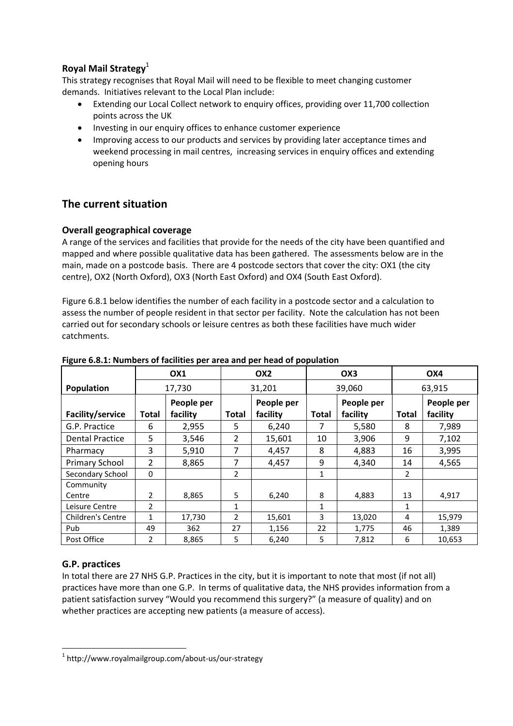# **Royal Mail Strategy**<sup>1</sup>

This strategy recognises that Royal Mail will need to be flexible to meet changing customer demands. Initiatives relevant to the Local Plan include:

- Extending our Local Collect network to enquiry offices, providing over 11,700 collection points across the UK
- Investing in our enquiry offices to enhance customer experience
- Improving access to our products and services by providing later acceptance times and weekend processing in mail centres, increasing services in enquiry offices and extending opening hours

# **The current situation**

### **Overall geographical coverage**

A range of the services and facilities that provide for the needs of the city have been quantified and mapped and where possible qualitative data has been gathered. The assessments below are in the main, made on a postcode basis. There are 4 postcode sectors that cover the city: OX1 (the city centre), OX2 (North Oxford), OX3 (North East Oxford) and OX4 (South East Oxford).

Figure 6.8.1 below identifies the number of each facility in a postcode sector and a calculation to assess the number of people resident in that sector per facility. Note the calculation has not been carried out for secondary schools or leisure centres as both these facilities have much wider catchments.

|                          |                | OX <sub>1</sub> | OX <sub>2</sub> |            | OX3    |            | OX4            |            |
|--------------------------|----------------|-----------------|-----------------|------------|--------|------------|----------------|------------|
| Population               | 17,730         |                 | 31,201          |            | 39,060 |            | 63,915         |            |
|                          |                | People per      |                 | People per |        | People per |                | People per |
| Facility/service         | Total          | facility        | <b>Total</b>    | facility   | Total  | facility   | Total          | facility   |
| G.P. Practice            | 6              | 2,955           | 5.              | 6,240      | 7      | 5,580      | 8              | 7,989      |
| <b>Dental Practice</b>   | 5              | 3,546           | $\overline{2}$  | 15,601     | 10     | 3,906      | 9              | 7,102      |
| Pharmacy                 | 3              | 5,910           | 7               | 4,457      | 8      | 4,883      | 16             | 3,995      |
| Primary School           | $\overline{2}$ | 8,865           | 7               | 4,457      | 9      | 4,340      | 14             | 4,565      |
| Secondary School         | $\Omega$       |                 | $\overline{2}$  |            | 1      |            | $\overline{2}$ |            |
| Community                |                |                 |                 |            |        |            |                |            |
| Centre                   | $\overline{2}$ | 8,865           | 5.              | 6,240      | 8      | 4,883      | 13             | 4,917      |
| Leisure Centre           | 2              |                 | 1               |            | 1      |            | 1              |            |
| <b>Children's Centre</b> | $\mathbf 1$    | 17,730          | 2               | 15,601     | 3      | 13,020     | 4              | 15,979     |
| Pub                      | 49             | 362             | 27              | 1,156      | 22     | 1,775      | 46             | 1,389      |
| Post Office              | 2              | 8,865           | 5               | 6,240      | 5      | 7,812      | 6              | 10,653     |

### **Figure 6.8.1: Numbers of facilities per area and per head of population**

### **G.P. practices**

 $\overline{a}$ 

In total there are 27 NHS G.P. Practices in the city, but it is important to note that most (if not all) practices have more than one G.P. In terms of qualitative data, the NHS provides information from a patient satisfaction survey "Would you recommend this surgery?" (a measure of quality) and on whether practices are accepting new patients (a measure of access).

 $1$  http://www.royalmailgroup.com/about-us/our-strategy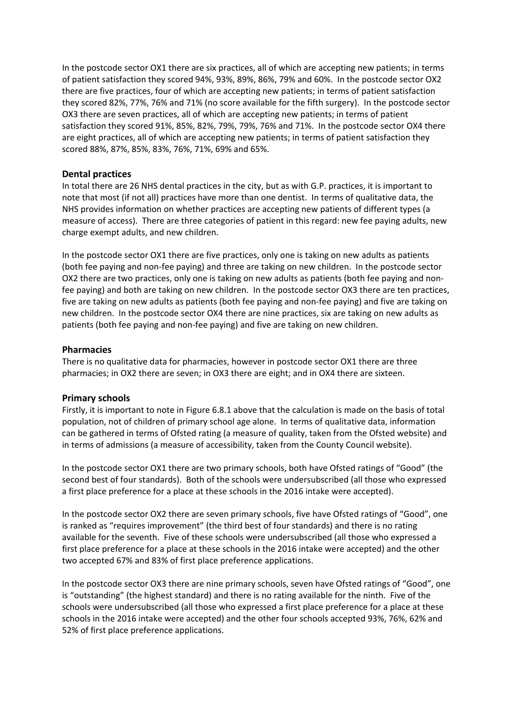In the postcode sector OX1 there are six practices, all of which are accepting new patients; in terms of patient satisfaction they scored 94%, 93%, 89%, 86%, 79% and 60%. In the postcode sector OX2 there are five practices, four of which are accepting new patients; in terms of patient satisfaction they scored 82%, 77%, 76% and 71% (no score available for the fifth surgery). In the postcode sector OX3 there are seven practices, all of which are accepting new patients; in terms of patient satisfaction they scored 91%, 85%, 82%, 79%, 79%, 76% and 71%. In the postcode sector OX4 there are eight practices, all of which are accepting new patients; in terms of patient satisfaction they scored 88%, 87%, 85%, 83%, 76%, 71%, 69% and 65%.

### **Dental practices**

In total there are 26 NHS dental practices in the city, but as with G.P. practices, it is important to note that most (if not all) practices have more than one dentist. In terms of qualitative data, the NHS provides information on whether practices are accepting new patients of different types (a measure of access). There are three categories of patient in this regard: new fee paying adults, new charge exempt adults, and new children.

In the postcode sector OX1 there are five practices, only one is taking on new adults as patients (both fee paying and non‐fee paying) and three are taking on new children. In the postcode sector OX2 there are two practices, only one is taking on new adults as patients (both fee paying and non‐ fee paying) and both are taking on new children. In the postcode sector OX3 there are ten practices, five are taking on new adults as patients (both fee paying and non‐fee paying) and five are taking on new children. In the postcode sector OX4 there are nine practices, six are taking on new adults as patients (both fee paying and non‐fee paying) and five are taking on new children.

### **Pharmacies**

There is no qualitative data for pharmacies, however in postcode sector OX1 there are three pharmacies; in OX2 there are seven; in OX3 there are eight; and in OX4 there are sixteen.

### **Primary schools**

Firstly, it is important to note in Figure 6.8.1 above that the calculation is made on the basis of total population, not of children of primary school age alone. In terms of qualitative data, information can be gathered in terms of Ofsted rating (a measure of quality, taken from the Ofsted website) and in terms of admissions (a measure of accessibility, taken from the County Council website).

In the postcode sector OX1 there are two primary schools, both have Ofsted ratings of "Good" (the second best of four standards). Both of the schools were undersubscribed (all those who expressed a first place preference for a place at these schools in the 2016 intake were accepted).

In the postcode sector OX2 there are seven primary schools, five have Ofsted ratings of "Good", one is ranked as "requires improvement" (the third best of four standards) and there is no rating available for the seventh. Five of these schools were undersubscribed (all those who expressed a first place preference for a place at these schools in the 2016 intake were accepted) and the other two accepted 67% and 83% of first place preference applications.

In the postcode sector OX3 there are nine primary schools, seven have Ofsted ratings of "Good", one is "outstanding" (the highest standard) and there is no rating available for the ninth. Five of the schools were undersubscribed (all those who expressed a first place preference for a place at these schools in the 2016 intake were accepted) and the other four schools accepted 93%, 76%, 62% and 52% of first place preference applications.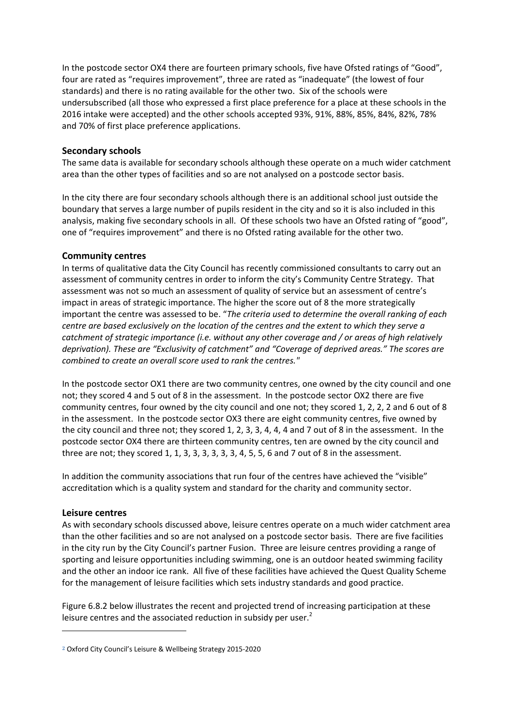In the postcode sector OX4 there are fourteen primary schools, five have Ofsted ratings of "Good", four are rated as "requires improvement", three are rated as "inadequate" (the lowest of four standards) and there is no rating available for the other two. Six of the schools were undersubscribed (all those who expressed a first place preference for a place at these schools in the 2016 intake were accepted) and the other schools accepted 93%, 91%, 88%, 85%, 84%, 82%, 78% and 70% of first place preference applications.

### **Secondary schools**

The same data is available for secondary schools although these operate on a much wider catchment area than the other types of facilities and so are not analysed on a postcode sector basis.

In the city there are four secondary schools although there is an additional school just outside the boundary that serves a large number of pupils resident in the city and so it is also included in this analysis, making five secondary schools in all. Of these schools two have an Ofsted rating of "good", one of "requires improvement" and there is no Ofsted rating available for the other two.

### **Community centres**

In terms of qualitative data the City Council has recently commissioned consultants to carry out an assessment of community centres in order to inform the city's Community Centre Strategy. That assessment was not so much an assessment of quality of service but an assessment of centre's impact in areas of strategic importance. The higher the score out of 8 the more strategically important the centre was assessed to be. "*The criteria used to determine the overall ranking of each centre are based exclusively on the location of the centres and the extent to which they serve a catchment of strategic importance (i.e. without any other coverage and / or areas of high relatively deprivation). These are "Exclusivity of catchment" and "Coverage of deprived areas." The scores are combined to create an overall score used to rank the centres."*

In the postcode sector OX1 there are two community centres, one owned by the city council and one not; they scored 4 and 5 out of 8 in the assessment. In the postcode sector OX2 there are five community centres, four owned by the city council and one not; they scored 1, 2, 2, 2 and 6 out of 8 in the assessment. In the postcode sector OX3 there are eight community centres, five owned by the city council and three not; they scored 1, 2, 3, 3, 4, 4, 4 and 7 out of 8 in the assessment. In the postcode sector OX4 there are thirteen community centres, ten are owned by the city council and three are not; they scored 1, 1, 3, 3, 3, 3, 3, 3, 4, 5, 5, 6 and 7 out of 8 in the assessment.

In addition the community associations that run four of the centres have achieved the "visible" accreditation which is a quality system and standard for the charity and community sector.

#### **Leisure centres**

 $\overline{a}$ 

As with secondary schools discussed above, leisure centres operate on a much wider catchment area than the other facilities and so are not analysed on a postcode sector basis. There are five facilities in the city run by the City Council's partner Fusion. Three are leisure centres providing a range of sporting and leisure opportunities including swimming, one is an outdoor heated swimming facility and the other an indoor ice rank. All five of these facilities have achieved the Quest Quality Scheme for the management of leisure facilities which sets industry standards and good practice.

Figure 6.8.2 below illustrates the recent and projected trend of increasing participation at these leisure centres and the associated reduction in subsidy per user. $<sup>2</sup>$ </sup>

**<sup>2</sup>** Oxford City Council's Leisure & Wellbeing Strategy 2015‐2020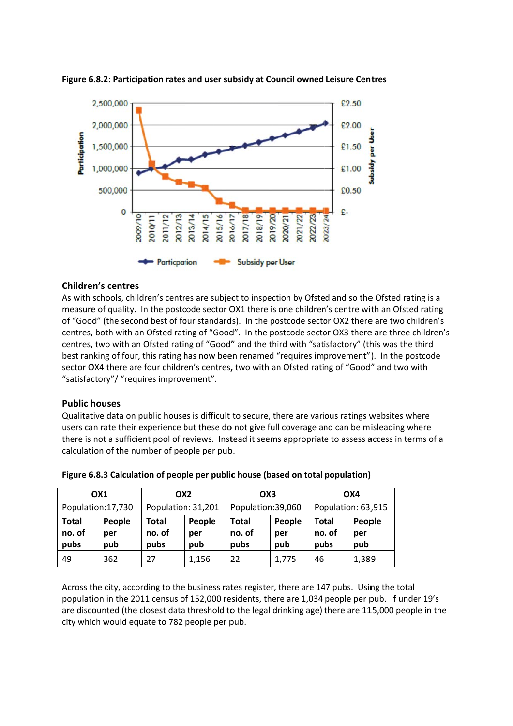

### **Figure 6.8.2: Participation rates and user subsidy at Council owned Leisure Centres**

### **Childre n's centres**

As with schools, children's centres are subject to inspection by Ofsted and so the Ofsted rating is a measure of quality. In the postcode sector OX1 there is one children's centre with an Ofsted rating of "Good" (the second best of four standards). In the postcode sector OX2 there are two children's centres, both with an Ofsted rating of "Good". In the postcode sector OX3 there are three children's centres, two with an Ofsted rating of "Good" and the third with "satisfactory" (this was the third best ranking of four, this rating has now been renamed "requires improvement"). In the postcode sector OX4 there are four children's centres, two with an Ofsted rating of "Good" and two with "satisfactory"/ "requires improvement".

### **Public h houses**

Qualitative data on public houses is difficult to secure, there are various ratings websites where users can rate their experience but these do not give full coverage and can be misleading where there is not a sufficient pool of reviews. Instead it seems appropriate to assess access in terms of a calculation of the number of people per pub.

| OX1                            |                      | OX <sub>2</sub>         |                      | OX3                     |                      | OX4                            |                      |
|--------------------------------|----------------------|-------------------------|----------------------|-------------------------|----------------------|--------------------------------|----------------------|
| Population: 17,730             |                      | Population: 31,201      |                      | Population:39,060       |                      | Population: 63,915             |                      |
| <b>Total</b><br>no. of<br>pubs | People<br>per<br>pub | Total<br>no. of<br>pubs | People<br>per<br>pub | Total<br>no. of<br>pubs | People<br>per<br>pub | <b>Total</b><br>no. of<br>pubs | People<br>per<br>pub |
| 49                             | 362                  | 27                      | 1,156                | 22                      | 1,775                | 46                             | 1,389                |

**Figure** 6.8.3 Calculation of people per public house (based on total population)

Across the city, according to the business rates register, there are 147 pubs. Using the total population in the 2011 census of 152,000 residents, there are 1,034 people per pub. If under 19's are discounted (the closest data threshold to the legal drinking age) there are 115,000 people in the city which would equate to 782 people per pub.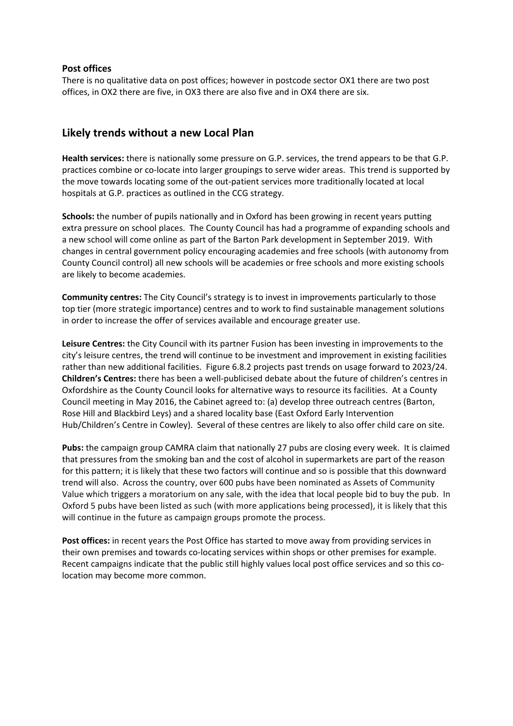### **Post offices**

There is no qualitative data on post offices; however in postcode sector OX1 there are two post offices, in OX2 there are five, in OX3 there are also five and in OX4 there are six.

### **Likely trends without a new Local Plan**

**Health services:** there is nationally some pressure on G.P. services, the trend appears to be that G.P. practices combine or co‐locate into larger groupings to serve wider areas. This trend is supported by the move towards locating some of the out‐patient services more traditionally located at local hospitals at G.P. practices as outlined in the CCG strategy.

**Schools:** the number of pupils nationally and in Oxford has been growing in recent years putting extra pressure on school places. The County Council has had a programme of expanding schools and a new school will come online as part of the Barton Park development in September 2019. With changes in central government policy encouraging academies and free schools (with autonomy from County Council control) all new schools will be academies or free schools and more existing schools are likely to become academies.

**Community centres:** The City Council's strategy is to invest in improvements particularly to those top tier (more strategic importance) centres and to work to find sustainable management solutions in order to increase the offer of services available and encourage greater use.

**Leisure Centres:** the City Council with its partner Fusion has been investing in improvements to the city's leisure centres, the trend will continue to be investment and improvement in existing facilities rather than new additional facilities. Figure 6.8.2 projects past trends on usage forward to 2023/24. **Children's Centres:** there has been a well‐publicised debate about the future of children's centres in Oxfordshire as the County Council looks for alternative ways to resource its facilities. At a County Council meeting in May 2016, the Cabinet agreed to: (a) develop three outreach centres (Barton, Rose Hill and Blackbird Leys) and a shared locality base (East Oxford Early Intervention Hub/Children's Centre in Cowley). Several of these centres are likely to also offer child care on site.

**Pubs:** the campaign group CAMRA claim that nationally 27 pubs are closing every week. It is claimed that pressures from the smoking ban and the cost of alcohol in supermarkets are part of the reason for this pattern; it is likely that these two factors will continue and so is possible that this downward trend will also. Across the country, over 600 pubs have been nominated as Assets of Community Value which triggers a moratorium on any sale, with the idea that local people bid to buy the pub. In Oxford 5 pubs have been listed as such (with more applications being processed), it is likely that this will continue in the future as campaign groups promote the process.

**Post offices:** in recent years the Post Office has started to move away from providing services in their own premises and towards co‐locating services within shops or other premises for example. Recent campaigns indicate that the public still highly values local post office services and so this co‐ location may become more common.